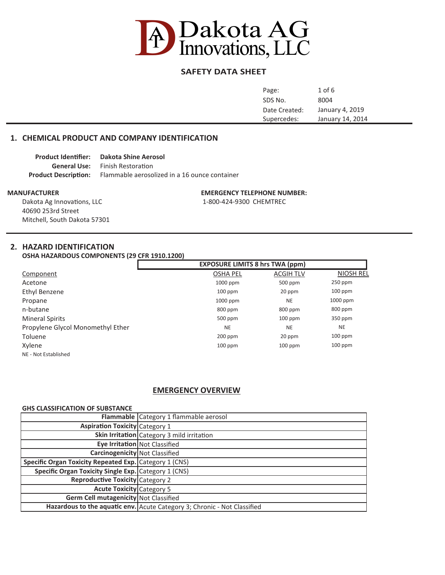

# **SAFETY DATA SHEET**

| Page:         | $1$ of $6$       |
|---------------|------------------|
| SDS No.       | 8004             |
| Date Created: | January 4, 2019  |
| Supercedes:   | January 14, 2014 |
|               |                  |

# **1. CHEMICAL PRODUCT AND COMPANY IDENTIFICATION**

| <b>Product Identifier:</b> | Dakota Shine Aerosol                                                      |
|----------------------------|---------------------------------------------------------------------------|
|                            | <b>General Use:</b> Finish Restoration                                    |
|                            | <b>Product Description:</b> Flammable aerosolized in a 16 ounce container |

Dakota Ag Innovations, LLC 1-800-424-9300 CHEMTREC 40690 253rd Street Mitchell, South Dakota 57301

**MANUFACTURER EMERGENCY TELEPHONE NUMBER:**

# **2. HAZARD IDENTIFICATION**

**OSHA HAZARDOUS COMPONENTS (29 CFR 1910.1200)**

|                                   | <b>EXPOSURE LIMITS 8 hrs TWA (ppm)</b> |                  |           |
|-----------------------------------|----------------------------------------|------------------|-----------|
| Component                         | <b>OSHA PEL</b>                        | <b>ACGIH TLV</b> | NIOSH REL |
| Acetone                           | 1000 ppm                               | 500 ppm          | $250$ ppm |
| Ethyl Benzene                     | $100$ ppm                              | 20 ppm           | $100$ ppm |
| Propane                           | 1000 ppm                               | <b>NE</b>        | 1000 ppm  |
| n-butane                          | 800 ppm                                | 800 ppm          | 800 ppm   |
| <b>Mineral Spirits</b>            | 500 ppm                                | $100$ ppm        | $350$ ppm |
| Propylene Glycol Monomethyl Ether | <b>NE</b>                              | <b>NE</b>        | <b>NE</b> |
| Toluene                           | $200$ ppm                              | 20 ppm           | $100$ ppm |
| Xylene                            | $100$ ppm                              | $100$ ppm        | $100$ ppm |
| NE - Not Established              |                                        |                  |           |

# **EMERGENCY OVERVIEW**

# **GHS CLASSIFICATION OF SUBSTANCE**

|                                                        | Flammable Category 1 flammable aerosol                                   |
|--------------------------------------------------------|--------------------------------------------------------------------------|
| <b>Aspiration Toxicity</b> Category 1                  |                                                                          |
|                                                        | Skin Irritation Category 3 mild irritation                               |
|                                                        | Eye Irritation Not Classified                                            |
| <b>Carcinogenicity</b> Not Classified                  |                                                                          |
| Specific Organ Toxicity Repeated Exp. Category 1 (CNS) |                                                                          |
| Specific Organ Toxicity Single Exp. Category 1 (CNS)   |                                                                          |
| Reproductive Toxicity Category 2                       |                                                                          |
| <b>Acute Toxicity Category 5</b>                       |                                                                          |
| Germ Cell mutagenicity Not Classified                  |                                                                          |
|                                                        | Hazardous to the aquatic env. Acute Category 3; Chronic - Not Classified |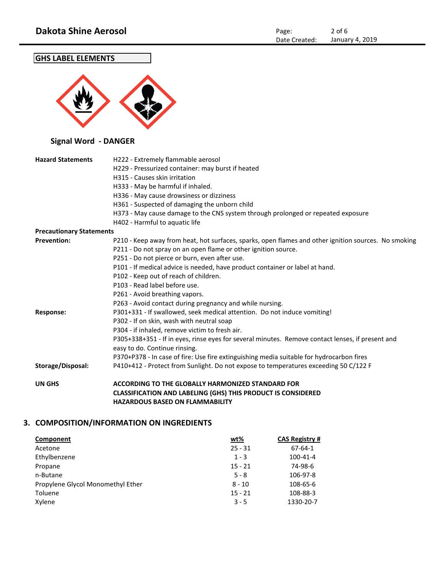# **GHS LABEL ELEMENTS**



# **Signal Word - DANGER**

| <b>Hazard Statements</b>        | H222 - Extremely flammable aerosol                                                                   |
|---------------------------------|------------------------------------------------------------------------------------------------------|
|                                 | H229 - Pressurized container: may burst if heated                                                    |
|                                 | H315 - Causes skin irritation                                                                        |
|                                 | H333 - May be harmful if inhaled.                                                                    |
|                                 | H336 - May cause drowsiness or dizziness                                                             |
|                                 | H361 - Suspected of damaging the unborn child                                                        |
|                                 | H373 - May cause damage to the CNS system through prolonged or repeated exposure                     |
|                                 | H402 - Harmful to aquatic life                                                                       |
| <b>Precautionary Statements</b> |                                                                                                      |
| <b>Prevention:</b>              | P210 - Keep away from heat, hot surfaces, sparks, open flames and other ignition sources. No smoking |
|                                 | P211 - Do not spray on an open flame or other ignition source.                                       |
|                                 | P251 - Do not pierce or burn, even after use.                                                        |
|                                 | P101 - If medical advice is needed, have product container or label at hand.                         |
|                                 | P102 - Keep out of reach of children.                                                                |
|                                 | P103 - Read label before use.                                                                        |
|                                 | P261 - Avoid breathing vapors.                                                                       |
|                                 | P263 - Avoid contact during pregnancy and while nursing.                                             |
| <b>Response:</b>                | P301+331 - If swallowed, seek medical attention. Do not induce vomiting!                             |
|                                 | P302 - If on skin, wash with neutral soap                                                            |
|                                 | P304 - if inhaled, remove victim to fresh air.                                                       |
|                                 | P305+338+351 - If in eyes, rinse eyes for several minutes. Remove contact lenses, if present and     |
|                                 | easy to do. Continue rinsing.                                                                        |
|                                 | P370+P378 - In case of fire: Use fire extinguishing media suitable for hydrocarbon fires             |
| Storage/Disposal:               | P410+412 - Protect from Sunlight. Do not expose to temperatures exceeding 50 C/122 F                 |
| <b>UN GHS</b>                   | <b>ACCORDING TO THE GLOBALLY HARMONIZED STANDARD FOR</b>                                             |
|                                 | <b>CLASSIFICATION AND LABELING (GHS) THIS PRODUCT IS CONSIDERED</b>                                  |
|                                 | <b>HAZARDOUS BASED ON FLAMMABILITY</b>                                                               |

# **3. COMPOSITION/INFORMATION ON INGREDIENTS**

| Component                         | <u>wt%</u> | <b>CAS Registry #</b> |
|-----------------------------------|------------|-----------------------|
| Acetone                           | $25 - 31$  | 67-64-1               |
| Ethylbenzene                      | $1 - 3$    | $100 - 41 - 4$        |
| Propane                           | $15 - 21$  | 74-98-6               |
| n-Butane                          | $5 - 8$    | 106-97-8              |
| Propylene Glycol Monomethyl Ether | $8 - 10$   | 108-65-6              |
| Toluene                           | $15 - 21$  | 108-88-3              |
| Xylene                            | $3 - 5$    | 1330-20-7             |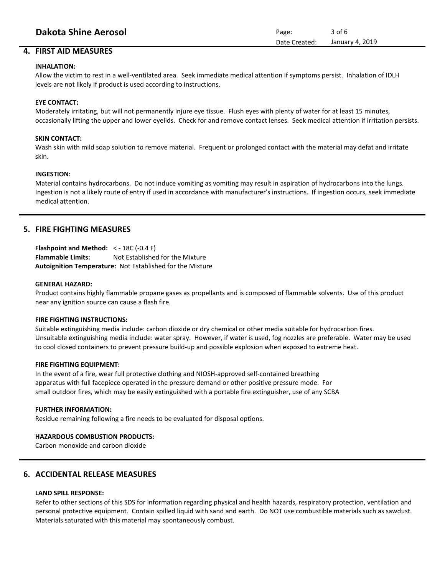# **4. FIRST AID MEASURES**

## **INHALATION:**

Allow the victim to rest in a well-ventilated area. Seek immediate medical attention if symptoms persist. Inhalation of IDLH levels are not likely if product is used according to instructions.

# **EYE CONTACT:**

Moderately irritating, but will not permanently injure eye tissue. Flush eyes with plenty of water for at least 15 minutes, occasionally lifting the upper and lower eyelids. Check for and remove contact lenses. Seek medical attention if irritation persists.

## **SKIN CONTACT:**

Wash skin with mild soap solution to remove material. Frequent or prolonged contact with the material may defat and irritate skin.

#### **INGESTION:**

Material contains hydrocarbons. Do not induce vomiting as vomiting may result in aspiration of hydrocarbons into the lungs. Ingestion is not a likely route of entry if used in accordance with manufacturer's instructions. If ingestion occurs, seek immediate medical attention.

# **5. FIRE FIGHTING MEASURES**

**Flashpoint and Method:** < - 18C (-0.4 F) **Flammable Limits:** Not Established for the Mixture **Autoignition Temperature:** Not Established for the Mixture

#### **GENERAL HAZARD:**

Product contains highly flammable propane gases as propellants and is composed of flammable solvents. Use of this product near any ignition source can cause a flash fire.

#### **FIRE FIGHTING INSTRUCTIONS:**

Suitable extinguishing media include: carbon dioxide or dry chemical or other media suitable for hydrocarbon fires. Unsuitable extinguishing media include: water spray. However, if water is used, fog nozzles are preferable. Water may be used to cool closed containers to prevent pressure build-up and possible explosion when exposed to extreme heat.

#### **FIRE FIGHTING EQUIPMENT:**

In the event of a fire, wear full protective clothing and NIOSH-approved self-contained breathing apparatus with full facepiece operated in the pressure demand or other positive pressure mode. For small outdoor fires, which may be easily extinguished with a portable fire extinguisher, use of any SCBA

#### **FURTHER INFORMATION:**

Residue remaining following a fire needs to be evaluated for disposal options.

# **HAZARDOUS COMBUSTION PRODUCTS:**

Carbon monoxide and carbon dioxide

# **6. ACCIDENTAL RELEASE MEASURES**

# **LAND SPILL RESPONSE:**

Refer to other sections of this SDS for information regarding physical and health hazards, respiratory protection, ventilation and personal protective equipment. Contain spilled liquid with sand and earth. Do NOT use combustible materials such as sawdust. Materials saturated with this material may spontaneously combust.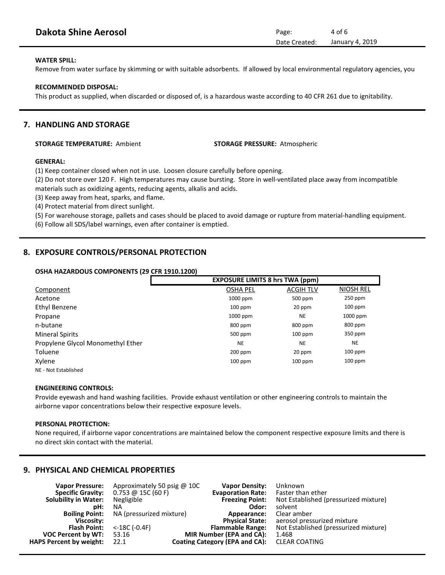| <b>Dakota Shine Aerosol</b> | Page:         | 4 of 6          |
|-----------------------------|---------------|-----------------|
|                             | Date Created: | January 4, 2019 |

# **WATER SPILL:**

Remove from water surface by skimming or with suitable adsorbents. If allowed by local environmental regulatory agencies, you

#### **RECOMMENDED DISPOSAL:**

This product as supplied, when discarded or disposed of, is a hazardous waste according to 40 CFR 261 due to ignitability.

# **7. HANDLING AND STORAGE**

# **STORAGE TEMPERATURE:** Ambient **STORAGE PRESSURE:** Atmospheric

# **GENERAL:**

(1) Keep container closed when not in use. Loosen closure carefully before opening.

(2) Do not store over 120 F. High temperatures may cause bursting. Store in well-ventilated place away from incompatible materials such as oxidizing agents, reducing agents, alkalis and acids.

(3) Keep away from heat, sparks, and flame.

(4) Protect material from direct sunlight.

(5) For warehouse storage, pallets and cases should be placed to avoid damage or rupture from material-handling equipment.

(6) Follow all SDS/label warnings, even after container is emptied.

# **8. EXPOSURE CONTROLS/PERSONAL PROTECTION**

#### **OSHA HAZARDOUS COMPONENTS (29 CFR 1910.1200)**

|                                   | <b>EXPOSURE LIMITS 8 hrs TWA (ppm)</b> |                  |                  |
|-----------------------------------|----------------------------------------|------------------|------------------|
| Component                         | <b>OSHA PEL</b>                        | <b>ACGIH TLV</b> | <b>NIOSH REL</b> |
| Acetone                           | 1000 ppm                               | 500 ppm          | $250$ ppm        |
| Ethyl Benzene                     | $100$ ppm                              | 20 ppm           | $100$ ppm        |
| Propane                           | 1000 ppm                               | <b>NE</b>        | 1000 ppm         |
| n-butane                          | 800 ppm                                | 800 ppm          | 800 ppm          |
| <b>Mineral Spirits</b>            | 500 ppm                                | $100$ ppm        | 350 ppm          |
| Propylene Glycol Monomethyl Ether | <b>NE</b>                              | <b>NE</b>        | <b>NE</b>        |
| Toluene                           | $200$ ppm                              | 20 ppm           | $100$ ppm        |
| Xylene                            | $100$ ppm                              | $100$ ppm        | $100$ ppm        |
| NE - Not Established              |                                        |                  |                  |

#### **ENGINEERING CONTROLS:**

Provide eyewash and hand washing facilities. Provide exhaust ventilation or other engineering controls to maintain the airborne vapor concentrations below their respective exposure levels.

# **PERSONAL PROTECTION:**

None required, if airborne vapor concentrations are maintained below the component respective exposure limits and there is no direct skin contact with the material.

# **9. PHYSICAL AND CHEMICAL PROPERTIES**

| <b>Vapor Pressure:</b>         | Approximately 50 psig $\omega$ 10C                                           | <b>Vapor Density:</b>          | Unknown                               |
|--------------------------------|------------------------------------------------------------------------------|--------------------------------|---------------------------------------|
| <b>Specific Gravity:</b>       | $0.753 \text{ } \textcircled{a} 15 \text{ } \text{ } (60 \text{ } \text{F})$ | <b>Evaporation Rate:</b>       | Faster than ether                     |
| <b>Solubility in Water:</b>    | Negligible                                                                   | <b>Freezing Point:</b>         | Not Established (pressurized mixture) |
| pH:                            | ΝA                                                                           | Odor:                          | solvent                               |
| <b>Boiling Point:</b>          | NA (pressurized mixture)                                                     | Appearance:                    | Clear amber                           |
| Viscosity:                     |                                                                              | <b>Physical State:</b>         | aerosol pressurized mixture           |
| <b>Flash Point:</b>            | $<$ -18C (-0.4F)                                                             | <b>Flammable Range:</b>        | Not Established (pressurized mixture) |
| <b>VOC Percent by WT:</b>      | 53.16                                                                        | MIR Number (EPA and CA):       | 1.468                                 |
| <b>HAPS Percent by weight:</b> | 22.1                                                                         | Coating Category (EPA and CA): | <b>CLEAR COATING</b>                  |
|                                |                                                                              |                                |                                       |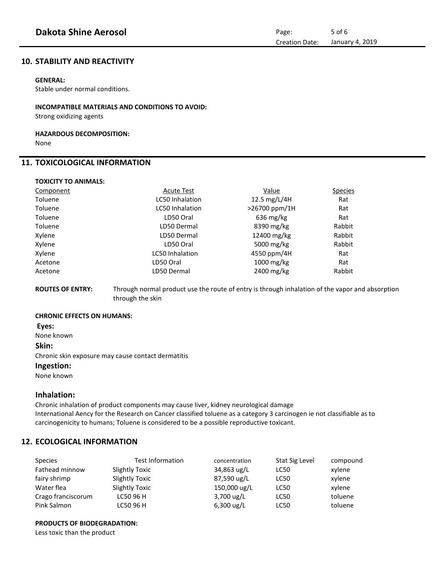# **10. STABILITY AND REACTIVITY**

# **GENERAL:**

Stable under normal conditions.

### **INCOMPATIBLE MATERIALS AND CONDITIONS TO AVOID:**

Strong oxidizing agents

#### **HAZARDOUS DECOMPOSITION:** None

# **11. TOXICOLOGICAL INFORMATION**

| <b>TOXICITY TO ANIMALS:</b> |  |
|-----------------------------|--|
| Component                   |  |
|                             |  |

| Component | <b>Acute Test</b>      | <u>Value</u>            | <b>Species</b> |
|-----------|------------------------|-------------------------|----------------|
| Toluene   | <b>LC50 Inhalation</b> | 12.5 mg/L/4H            | Rat            |
| Toluene   | <b>LC50 Inhalation</b> | >26700 ppm/1H           | Rat            |
| Toluene   | LD50 Oral              | $636 \text{ mg/kg}$     | Rat            |
| Toluene   | LD50 Dermal            | 8390 mg/kg              | Rabbit         |
| Xylene    | LD50 Dermal            | 12400 mg/kg             | Rabbit         |
| Xylene    | LD50 Oral              | 5000 mg/kg              | Rabbit         |
| Xylene    | <b>LC50 Inhalation</b> | 4550 ppm/4H             | Rat            |
| Acetone   | LD50 Oral              | $1000 \,\mathrm{mg/kg}$ | Rat            |
| Acetone   | LD50 Dermal            | 2400 mg/kg              | Rabbit         |
|           |                        |                         |                |

**ROUTES OF ENTRY:** Through normal product use the route of entry is through inhalation of the vapor and absorption through the skin

#### **CHRONIC EFFECTS ON HUMANS:**

**Eyes:** 

None known

#### **Skin:**

Chronic skin exposure may cause contact dermatitis

# **Ingestion:**

None known

# **Inhalation:**

Chronic inhalation of product components may cause liver, kidney neurological damage International Aency for the Research on Cancer classified toluene as a category 3 carcinogen ie not classifiable as to carcinogenicity to humans; Toluene is considered to be a possible reproductive toxicant.

# **12. ECOLOGICAL INFORMATION**

| Species            | <b>Test Information</b> | concentration        | Stat Sig Level | compound |
|--------------------|-------------------------|----------------------|----------------|----------|
| Fathead minnow     | Slightly Toxic          | 34,863 ug/L          | LC50           | xylene   |
| fairy shrimp       | <b>Slightly Toxic</b>   | 87,590 ug/L          | <b>LC50</b>    | xylene   |
| Water flea         | Slightly Toxic          | 150,000 ug/L         | <b>LC50</b>    | xylene   |
| Crago franciscorum | LC50 96 H               | $3,700 \text{ ug/L}$ | <b>LC50</b>    | toluene  |
| Pink Salmon        | LC50 96 H               | $6,300$ ug/L         | <b>LC50</b>    | toluene  |

# **PRODUCTS OF BIODEGRADATION:**

Less toxic than the product